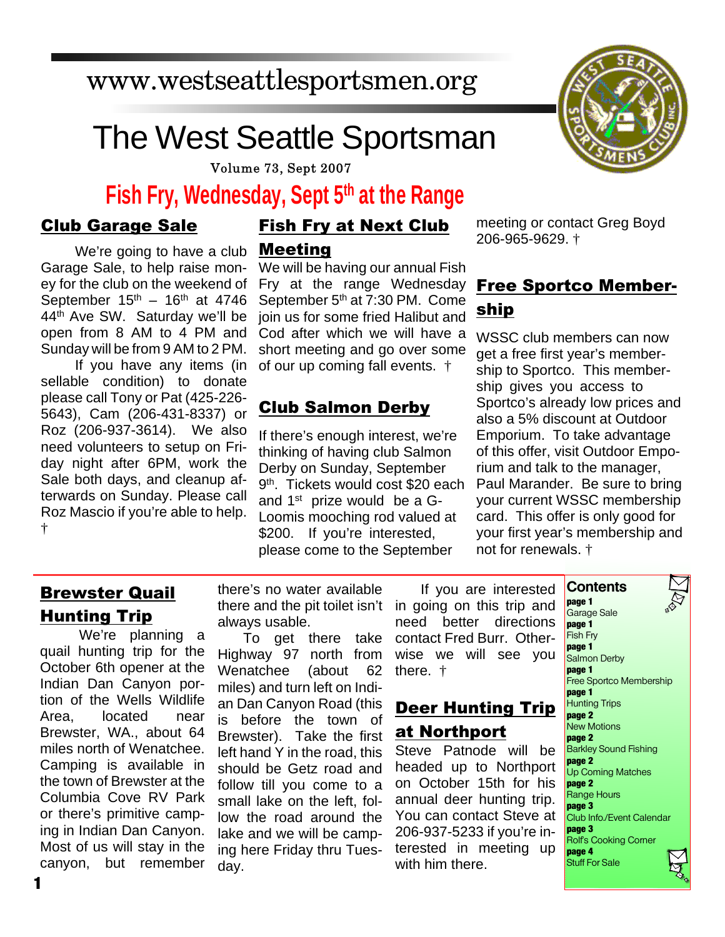### www.westseattlesportsmen.org

# The West Seattle Sportsman

Volume 73, Sept 2007

### **Fish Fry, Wednesday, Sept 5th at the Range**

#### Club Garage Sale

We're going to have a club Garage Sale, to help raise money for the club on the weekend of September  $15<sup>th</sup> - 16<sup>th</sup>$  at 4746 44th Ave SW. Saturday we'll be open from 8 AM to 4 PM and Sunday will be from 9 AM to 2 PM.

If you have any items (in sellable condition) to donate please call Tony or Pat (425-226- 5643), Cam (206-431-8337) or Roz (206-937-3614). We also need volunteers to setup on Friday night after 6PM, work the Sale both days, and cleanup afterwards on Sunday. Please call Roz Mascio if you're able to help. †

#### Fish Fry at Next Club Meeting

We will be having our annual Fish Fry at the range Wednesday September 5<sup>th</sup> at 7:30 PM. Come join us for some fried Halibut and Cod after which we will have a short meeting and go over some of our up coming fall events. †

#### Club Salmon Derby

If there's enough interest, we're thinking of having club Salmon Derby on Sunday, September 9<sup>th</sup>. Tickets would cost \$20 each and 1st prize would be a G-Loomis mooching rod valued at \$200. If you're interested, please come to the September

meeting or contact Greg Boyd 206-965-9629. †

#### Free Sportco Membership

WSSC club members can now get a free first year's membership to Sportco. This membership gives you access to Sportco's already low prices and also a 5% discount at Outdoor Emporium. To take advantage of this offer, visit Outdoor Emporium and talk to the manager, Paul Marander. Be sure to bring your current WSSC membership card. This offer is only good for your first year's membership and not for renewals. †

#### Brewster Quail Hunting Trip

 We're planning a quail hunting trip for the October 6th opener at the Indian Dan Canyon portion of the Wells Wildlife Area, located near Brewster, WA., about 64 miles north of Wenatchee. Camping is available in the town of Brewster at the Columbia Cove RV Park or there's primitive camping in Indian Dan Canyon. Most of us will stay in the canyon, but remember there's no water available there and the pit toilet isn't always usable.

To get there take Highway 97 north from Wenatchee (about 62 miles) and turn left on Indian Dan Canyon Road (this is before the town of Brewster). Take the first left hand Y in the road, this should be Getz road and follow till you come to a small lake on the left, follow the road around the lake and we will be camping here Friday thru Tuesday.

If you are interested in going on this trip and need better directions contact Fred Burr. Otherwise we will see you there. †

#### Deer Hunting Trip at Northport

Steve Patnode will be headed up to Northport on October 15th for his annual deer hunting trip. You can contact Steve at 206-937-5233 if you're interested in meeting up with him there.



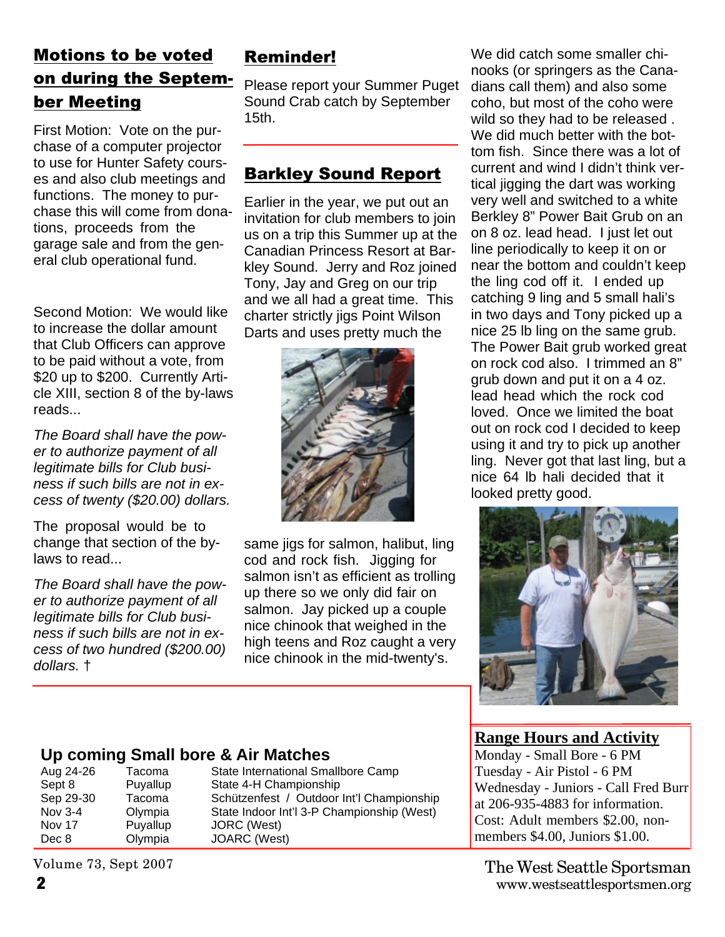#### Motions to be voted on during the September Meeting

First Motion: Vote on the purchase of a computer projector to use for Hunter Safety courses and also club meetings and functions. The money to purchase this will come from donations, proceeds from the garage sale and from the general club operational fund.

Second Motion: We would like to increase the dollar amount that Club Officers can approve to be paid without a vote, from \$20 up to \$200. Currently Article XIII, section 8 of the by-laws reads...

*The Board shall have the power to authorize payment of all legitimate bills for Club business if such bills are not in excess of twenty (\$20.00) dollars.*

The proposal would be to change that section of the bylaws to read...

*The Board shall have the power to authorize payment of all legitimate bills for Club business if such bills are not in excess of two hundred (\$200.00) dollars.* †

### Reminder!

Please report your Summer Puget Sound Crab catch by September 15th.

#### Barkley Sound Report

Earlier in the year, we put out an invitation for club members to join us on a trip this Summer up at the Canadian Princess Resort at Barkley Sound. Jerry and Roz joined Tony, Jay and Greg on our trip and we all had a great time. This charter strictly jigs Point Wilson Darts and uses pretty much the



same jigs for salmon, halibut, ling cod and rock fish. Jigging for salmon isn't as efficient as trolling up there so we only did fair on salmon. Jay picked up a couple nice chinook that weighed in the high teens and Roz caught a very nice chinook in the mid-twenty's.

We did catch some smaller chinooks (or springers as the Canadians call them) and also some coho, but most of the coho were wild so they had to be released . We did much better with the bottom fish. Since there was a lot of current and wind I didn't think vertical jigging the dart was working very well and switched to a white Berkley 8" Power Bait Grub on an on 8 oz. lead head. I just let out line periodically to keep it on or near the bottom and couldn't keep the ling cod off it. I ended up catching 9 ling and 5 small hali's in two days and Tony picked up a nice 25 lb ling on the same grub. The Power Bait grub worked great on rock cod also. I trimmed an 8" grub down and put it on a 4 oz. lead head which the rock cod loved. Once we limited the boat out on rock cod I decided to keep using it and try to pick up another ling. Never got that last ling, but a nice 64 lb hali decided that it looked pretty good.



**Range Hours and Activity**

Monday - Small Bore - 6 PM Tuesday - Air Pistol - 6 PM Wednesday - Juniors - Call Fred Burr at 206-935-4883 for information. Cost: Adult members \$2.00, nonmembers \$4.00, Juniors \$1.00.

**2** www.westseattlesportsmen.org The West Seattle Sportsman

## **Up coming Small bore & Air Matches**

Tacoma State International Smallbore Camp Sept 8 Puyallup State 4-H Championship Sep 29-30 Tacoma Schützenfest / Outdoor Int'l Championship Nov 3-4 Olympia State Indoor Int'l 3-P Championship (West) Puyallup JORC (West) Dec 8 Olympia JOARC (West)

Volume 73, Sept 2007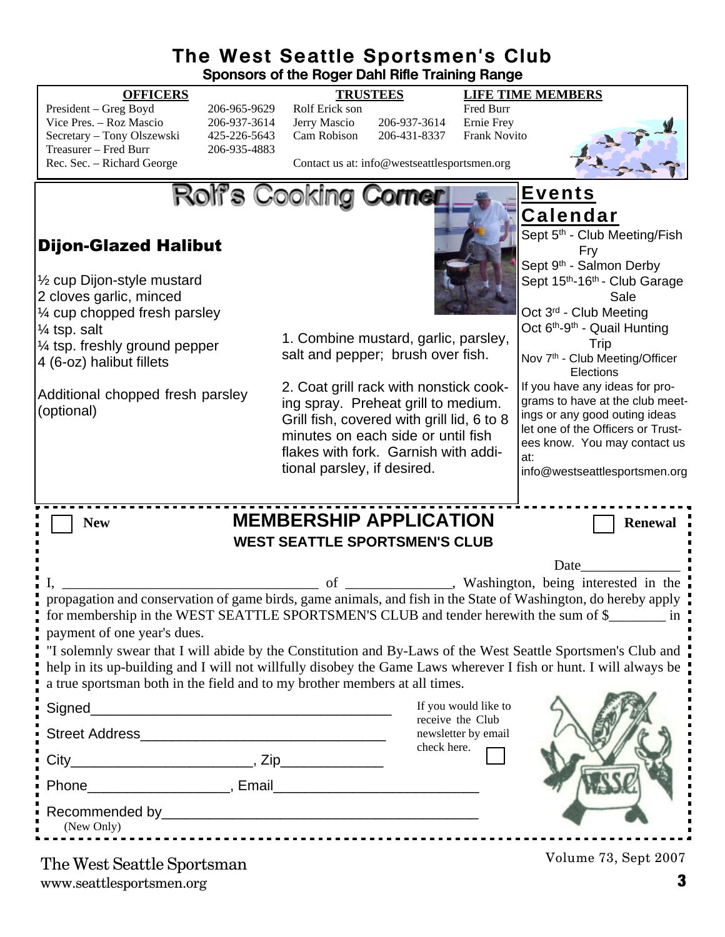### **The West Seattle Sportsmen's Club**

**Sponsors of the Roger Dahl Rifle Training Range**

#### **OFFICERS TRUSTEES LIFE TIME MEMBERS** President – Greg Boyd 206-965-9629 Rolf Erick son Fred Burr<br>Vice Pres. – Roz Mascio 206-937-3614 Jerry Mascio 206-937-3614 Ernie Frev Vice Pres. – Roz Mascio 206-937-3614 Jerry Mascio 206-937-3614 Ernie Frey<br>Secretary – Tony Olszewski 425-226-5643 Cam Robison 206-431-8337 Frank Novi Secretary – Tony Olszewski 425-226-5643 Cam Robison 206-431-8337 Frank Novito Treasurer – Fred Burr 206-935-4883<br>Rec. Sec. – Richard George Contact us at: info@westseattlesportsmen.org Rolf's Cooking Corner **Events Calendar** Sept 5<sup>th</sup> - Club Meeting/Fish Dijon-Glazed Halibut Fry Sept 9<sup>th</sup> - Salmon Derby ½ cup Dijon-style mustard Sept 15<sup>th</sup>-16<sup>th</sup> - Club Garage 2 cloves garlic, minced Sale ¼ cup chopped fresh parsley Oct 3rd - Club Meeting Oct  $6<sup>th</sup> - 9<sup>th</sup> -$  Quail Hunting ¼ tsp. salt 1. Combine mustard, garlic, parsley, **Trip** ¼ tsp. freshly ground pepper salt and pepper; brush over fish. Nov 7<sup>th</sup> - Club Meeting/Officer 4 (6-oz) halibut fillets **Elections** 2. Coat grill rack with nonstick cook-If you have any ideas for pro-Additional chopped fresh parsley grams to have at the club meeting spray. Preheat grill to medium. (optional) ings or any good outing ideas Grill fish, covered with grill lid, 6 to 8 let one of the Officers or Trustminutes on each side or until fish ees know. You may contact us flakes with fork. Garnish with addiat: tional parsley, if desired. info@westseattlesportsmen.org**New MEMBERSHIP APPLICATION** Renewal **WEST SEATTLE SPORTSMEN'S CLUB** Date I, Washington, being interested in the propagation and conservation of game birds, game animals, and fish in the State of Washington, do hereby apply for membership in the WEST SEATTLE SPORTSMEN'S CLUB and tender herewith the sum of \$\_\_\_\_\_\_\_\_\_ in payment of one year's dues. "I solemnly swear that I will abide by the Constitution and By-Laws of the West Seattle Sportsmen's Club and help in its up-building and I will not willfully disobey the Game Laws wherever I fish or hunt. I will always be a true sportsman both in the field and to my brother members at all times. If you would like to Signed receive the Club Street Address\_\_\_\_\_\_\_\_\_\_\_\_\_\_\_\_\_\_\_\_\_\_\_\_\_\_\_\_\_\_\_ newsletter by email check here. City\_\_\_\_\_\_\_\_\_\_\_\_\_\_\_\_\_\_\_\_\_\_\_, Zip\_\_\_\_\_\_\_\_\_\_\_\_\_ Phone **Email Phone Phone Phone Phone Phone Phone Phone Phone Phone Phone Phone Phone Phone Phone Phone Phone Phone Phone Phone Phone Phone Phone Phone Phone Phone Phone** Recommended by  $\Box$ (New Only)

www.seattlesportsmen.org **3** The West Seattle Sportsman

Volume 73, Sept 2007